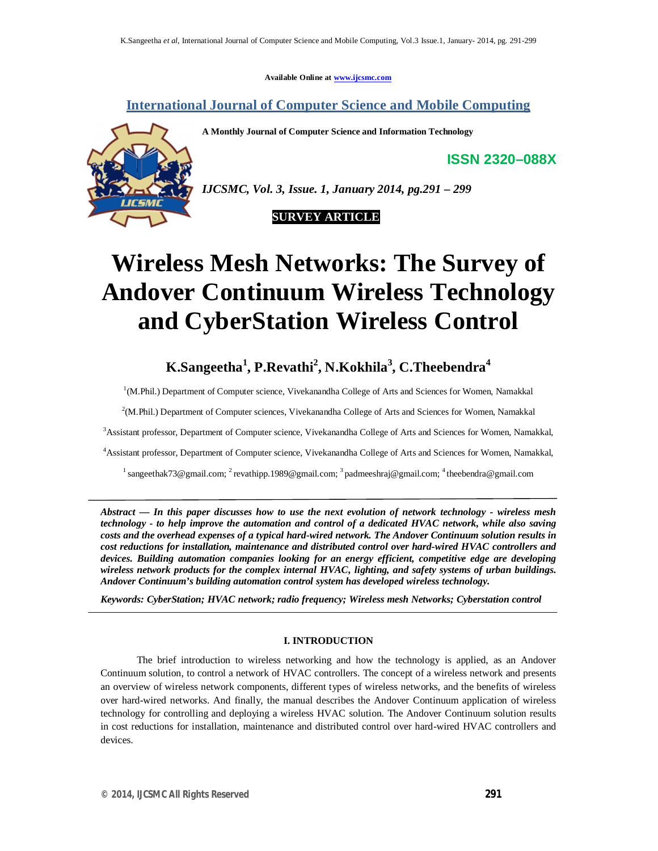**Available Online at www.ijcsmc.com**

## **International Journal of Computer Science and Mobile Computing**

**A Monthly Journal of Computer Science and Information Technology**

**ISSN 2320–088X**



*IJCSMC, Vol. 3, Issue. 1, January 2014, pg.291 – 299*

### **SURVEY ARTICLE**

# **Wireless Mesh Networks: The Survey of Andover Continuum Wireless Technology and CyberStation Wireless Control**

# **K.Sangeetha<sup>1</sup> , P.Revathi<sup>2</sup> , N.Kokhila<sup>3</sup> , C.Theebendra<sup>4</sup>**

<sup>1</sup>(M.Phil.) Department of Computer science, Vivekanandha College of Arts and Sciences for Women, Namakkal

2 (M.Phil.) Department of Computer sciences, Vivekanandha College of Arts and Sciences for Women, Namakkal

<sup>3</sup>Assistant professor, Department of Computer science, Vivekanandha College of Arts and Sciences for Women, Namakkal,

<sup>4</sup>Assistant professor, Department of Computer science, Vivekanandha College of Arts and Sciences for Women, Namakkal,

<sup>1</sup> sangeethak73@gmail.com; <sup>2</sup> revathipp.1989@gmail.com; <sup>3</sup> padmeeshraj@gmail.com; <sup>4</sup> theebendra@gmail.com

*Abstract — In this paper discusses how to use the next evolution of network technology - wireless mesh technology - to help improve the automation and control of a dedicated HVAC network, while also saving costs and the overhead expenses of a typical hard-wired network. The Andover Continuum solution results in cost reductions for installation, maintenance and distributed control over hard-wired HVAC controllers and devices. Building automation companies looking for an energy efficient, competitive edge are developing wireless network products for the complex internal HVAC, lighting, and safety systems of urban buildings. Andover Continuum's building automation control system has developed wireless technology.*

*Keywords: CyberStation; HVAC network; radio frequency; Wireless mesh Networks; Cyberstation control*

#### **I. INTRODUCTION**

The brief introduction to wireless networking and how the technology is applied, as an Andover Continuum solution, to control a network of HVAC controllers. The concept of a wireless network and presents an overview of wireless network components, different types of wireless networks, and the benefits of wireless over hard-wired networks. And finally, the manual describes the Andover Continuum application of wireless technology for controlling and deploying a wireless HVAC solution. The Andover Continuum solution results in cost reductions for installation, maintenance and distributed control over hard-wired HVAC controllers and devices.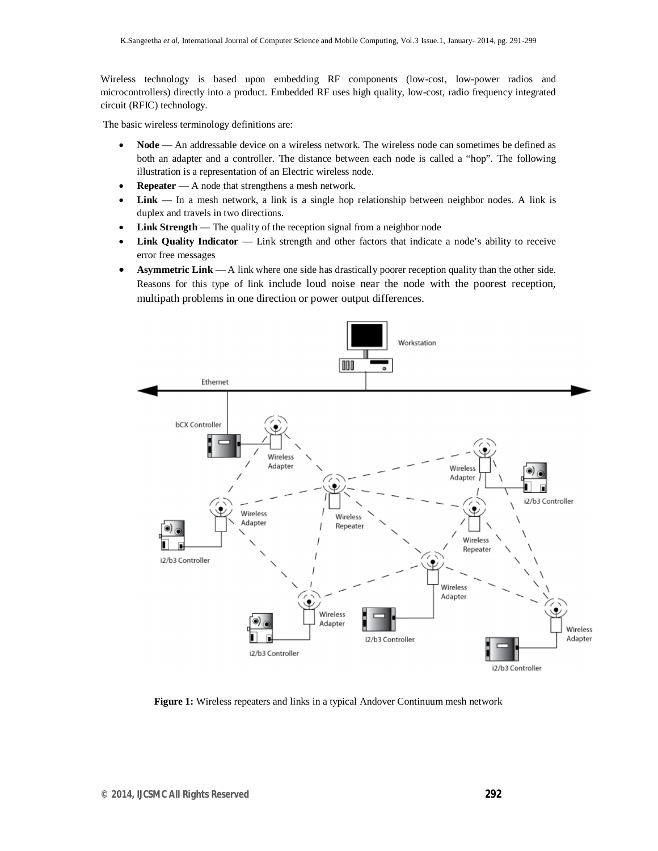Wireless technology is based upon embedding RF components (low-cost, low-power radios and microcontrollers) directly into a product. Embedded RF uses high quality, low-cost, radio frequency integrated circuit (RFIC) technology.

The basic wireless terminology definitions are:

- Node An addressable device on a wireless network. The wireless node can sometimes be defined as both an adapter and a controller. The distance between each node is called a "hop". The following illustration is a representation of an Electric wireless node.
- **Repeater** A node that strengthens a mesh network.
- **Link**  In a mesh network, a link is a single hop relationship between neighbor nodes. A link is duplex and travels in two directions.
- Link Strength The quality of the reception signal from a neighbor node
- Link Quality Indicator Link strength and other factors that indicate a node's ability to receive error free messages
- **Asymmetric Link** A link where one side has drastically poorer reception quality than the other side. Reasons for this type of link include loud noise near the node with the poorest reception, multipath problems in one direction or power output differences.



**Figure 1:** Wireless repeaters and links in a typical Andover Continuum mesh network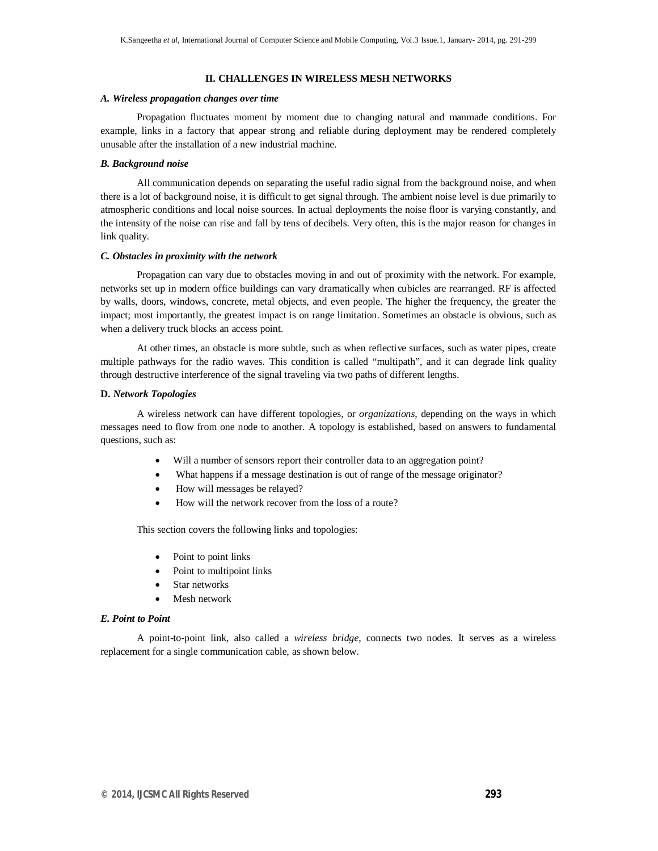#### **II. CHALLENGES IN WIRELESS MESH NETWORKS**

#### *A. Wireless propagation changes over time*

Propagation fluctuates moment by moment due to changing natural and manmade conditions. For example, links in a factory that appear strong and reliable during deployment may be rendered completely unusable after the installation of a new industrial machine.

#### *B. Background noise*

All communication depends on separating the useful radio signal from the background noise, and when there is a lot of background noise, it is difficult to get signal through. The ambient noise level is due primarily to atmospheric conditions and local noise sources. In actual deployments the noise floor is varying constantly, and the intensity of the noise can rise and fall by tens of decibels. Very often, this is the major reason for changes in link quality.

#### *C. Obstacles in proximity with the network*

Propagation can vary due to obstacles moving in and out of proximity with the network. For example, networks set up in modern office buildings can vary dramatically when cubicles are rearranged. RF is affected by walls, doors, windows, concrete, metal objects, and even people. The higher the frequency, the greater the impact; most importantly, the greatest impact is on range limitation. Sometimes an obstacle is obvious, such as when a delivery truck blocks an access point.

At other times, an obstacle is more subtle, such as when reflective surfaces, such as water pipes, create multiple pathways for the radio waves. This condition is called "multipath", and it can degrade link quality through destructive interference of the signal traveling via two paths of different lengths.

#### **D.** *Network Topologies*

A wireless network can have different topologies, or *organizations*, depending on the ways in which messages need to flow from one node to another. A topology is established, based on answers to fundamental questions, such as:

- Will a number of sensors report their controller data to an aggregation point?
- What happens if a message destination is out of range of the message originator?
- How will messages be relayed?
- How will the network recover from the loss of a route?

This section covers the following links and topologies:

- Point to point links
- Point to multipoint links
- Star networks
- Mesh network

#### *E. Point to Point*

A point-to-point link, also called a *wireless bridge*, connects two nodes. It serves as a wireless replacement for a single communication cable, as shown below.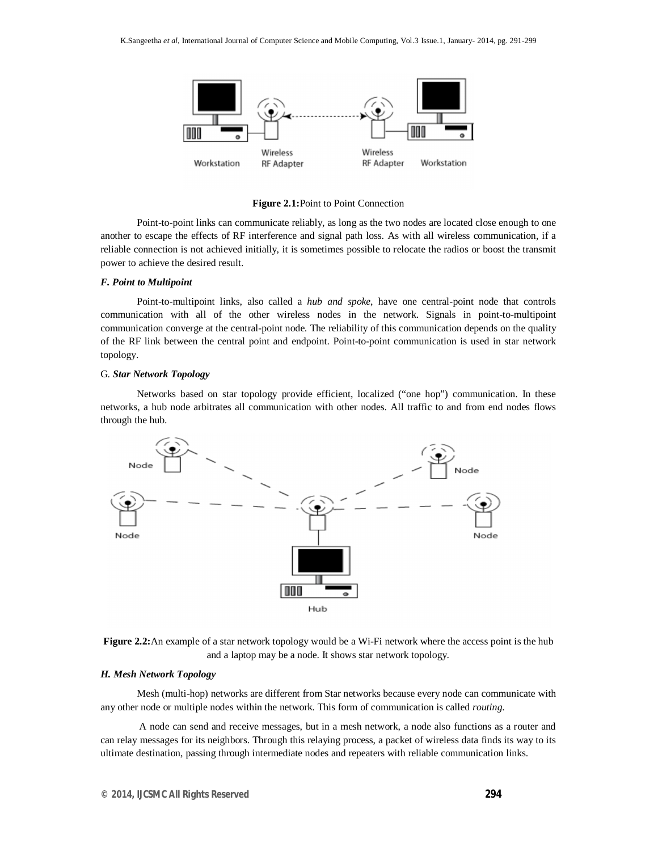

**Figure 2.1:**Point to Point Connection

Point-to-point links can communicate reliably, as long as the two nodes are located close enough to one another to escape the effects of RF interference and signal path loss. As with all wireless communication, if a reliable connection is not achieved initially, it is sometimes possible to relocate the radios or boost the transmit power to achieve the desired result.

#### *F. Point to Multipoint*

Point-to-multipoint links, also called a *hub and spoke*, have one central-point node that controls communication with all of the other wireless nodes in the network. Signals in point-to-multipoint communication converge at the central-point node. The reliability of this communication depends on the quality of the RF link between the central point and endpoint. Point-to-point communication is used in star network topology.

#### G. *Star Network Topology*

Networks based on star topology provide efficient, localized ("one hop") communication. In these networks, a hub node arbitrates all communication with other nodes. All traffic to and from end nodes flows through the hub.



**Figure 2.2:**An example of a star network topology would be a Wi-Fi network where the access point is the hub and a laptop may be a node. It shows star network topology.

#### *H. Mesh Network Topology*

Mesh (multi-hop) networks are different from Star networks because every node can communicate with any other node or multiple nodes within the network. This form of communication is called *routing*.

A node can send and receive messages, but in a mesh network, a node also functions as a router and can relay messages for its neighbors. Through this relaying process, a packet of wireless data finds its way to its ultimate destination, passing through intermediate nodes and repeaters with reliable communication links.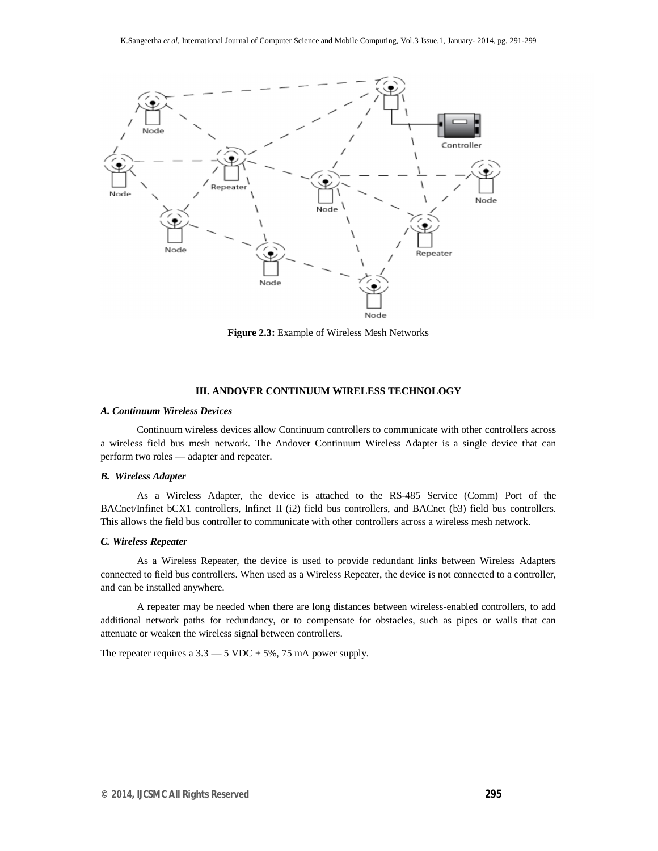

**Figure 2.3:** Example of Wireless Mesh Networks

#### **III. ANDOVER CONTINUUM WIRELESS TECHNOLOGY**

#### *A. Continuum Wireless Devices*

Continuum wireless devices allow Continuum controllers to communicate with other controllers across a wireless field bus mesh network. The Andover Continuum Wireless Adapter is a single device that can perform two roles — adapter and repeater.

#### *B. Wireless Adapter*

As a Wireless Adapter, the device is attached to the RS-485 Service (Comm) Port of the BACnet/Infinet bCX1 controllers, Infinet II (i2) field bus controllers, and BACnet (b3) field bus controllers. This allows the field bus controller to communicate with other controllers across a wireless mesh network.

#### *C. Wireless Repeater*

As a Wireless Repeater, the device is used to provide redundant links between Wireless Adapters connected to field bus controllers. When used as a Wireless Repeater, the device is not connected to a controller, and can be installed anywhere.

A repeater may be needed when there are long distances between wireless-enabled controllers, to add additional network paths for redundancy, or to compensate for obstacles, such as pipes or walls that can attenuate or weaken the wireless signal between controllers.

The repeater requires a  $3.3 - 5$  VDC  $\pm$  5%, 75 mA power supply.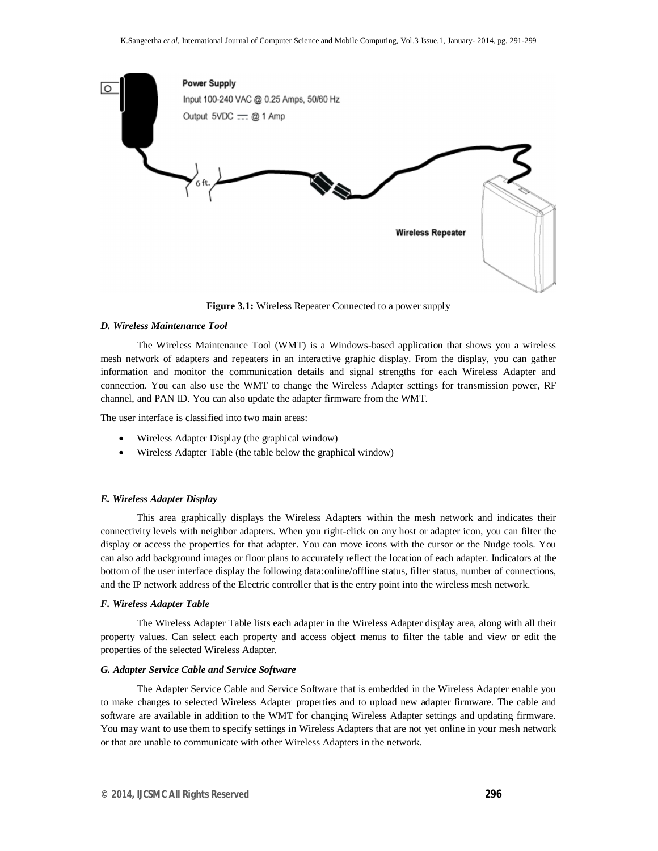

**Figure 3.1:** Wireless Repeater Connected to a power supply

#### *D. Wireless Maintenance Tool*

The Wireless Maintenance Tool (WMT) is a Windows-based application that shows you a wireless mesh network of adapters and repeaters in an interactive graphic display. From the display, you can gather information and monitor the communication details and signal strengths for each Wireless Adapter and connection. You can also use the WMT to change the Wireless Adapter settings for transmission power, RF channel, and PAN ID. You can also update the adapter firmware from the WMT.

The user interface is classified into two main areas:

- Wireless Adapter Display (the graphical window)
- Wireless Adapter Table (the table below the graphical window)

#### *E. Wireless Adapter Display*

This area graphically displays the Wireless Adapters within the mesh network and indicates their connectivity levels with neighbor adapters. When you right-click on any host or adapter icon, you can filter the display or access the properties for that adapter. You can move icons with the cursor or the Nudge tools. You can also add background images or floor plans to accurately reflect the location of each adapter. Indicators at the bottom of the user interface display the following data:online/offline status, filter status, number of connections, and the IP network address of the Electric controller that is the entry point into the wireless mesh network.

#### *F. Wireless Adapter Table*

The Wireless Adapter Table lists each adapter in the Wireless Adapter display area, along with all their property values. Can select each property and access object menus to filter the table and view or edit the properties of the selected Wireless Adapter.

#### *G. Adapter Service Cable and Service Software*

The Adapter Service Cable and Service Software that is embedded in the Wireless Adapter enable you to make changes to selected Wireless Adapter properties and to upload new adapter firmware. The cable and software are available in addition to the WMT for changing Wireless Adapter settings and updating firmware. You may want to use them to specify settings in Wireless Adapters that are not yet online in your mesh network or that are unable to communicate with other Wireless Adapters in the network.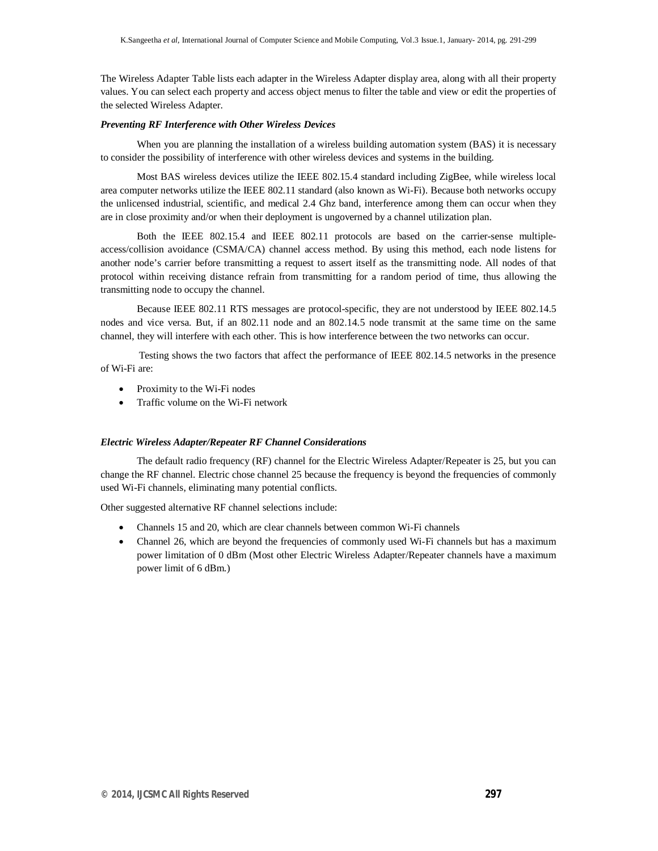The Wireless Adapter Table lists each adapter in the Wireless Adapter display area, along with all their property values. You can select each property and access object menus to filter the table and view or edit the properties of the selected Wireless Adapter.

#### *Preventing RF Interference with Other Wireless Devices*

When you are planning the installation of a wireless building automation system (BAS) it is necessary to consider the possibility of interference with other wireless devices and systems in the building.

Most BAS wireless devices utilize the IEEE 802.15.4 standard including ZigBee, while wireless local area computer networks utilize the IEEE 802.11 standard (also known as Wi-Fi). Because both networks occupy the unlicensed industrial, scientific, and medical 2.4 Ghz band, interference among them can occur when they are in close proximity and/or when their deployment is ungoverned by a channel utilization plan.

Both the IEEE 802.15.4 and IEEE 802.11 protocols are based on the carrier-sense multipleaccess/collision avoidance (CSMA/CA) channel access method. By using this method, each node listens for another node's carrier before transmitting a request to assert itself as the transmitting node. All nodes of that protocol within receiving distance refrain from transmitting for a random period of time, thus allowing the transmitting node to occupy the channel.

Because IEEE 802.11 RTS messages are protocol-specific, they are not understood by IEEE 802.14.5 nodes and vice versa. But, if an 802.11 node and an 802.14.5 node transmit at the same time on the same channel, they will interfere with each other. This is how interference between the two networks can occur.

 Testing shows the two factors that affect the performance of IEEE 802.14.5 networks in the presence of Wi-Fi are:

- Proximity to the Wi-Fi nodes
- Traffic volume on the Wi-Fi network

#### *Electric Wireless Adapter/Repeater RF Channel Considerations*

The default radio frequency (RF) channel for the Electric Wireless Adapter/Repeater is 25, but you can change the RF channel. Electric chose channel 25 because the frequency is beyond the frequencies of commonly used Wi-Fi channels, eliminating many potential conflicts.

Other suggested alternative RF channel selections include:

- Channels 15 and 20, which are clear channels between common Wi-Fi channels
- Channel 26, which are beyond the frequencies of commonly used Wi-Fi channels but has a maximum power limitation of 0 dBm (Most other Electric Wireless Adapter/Repeater channels have a maximum power limit of 6 dBm.)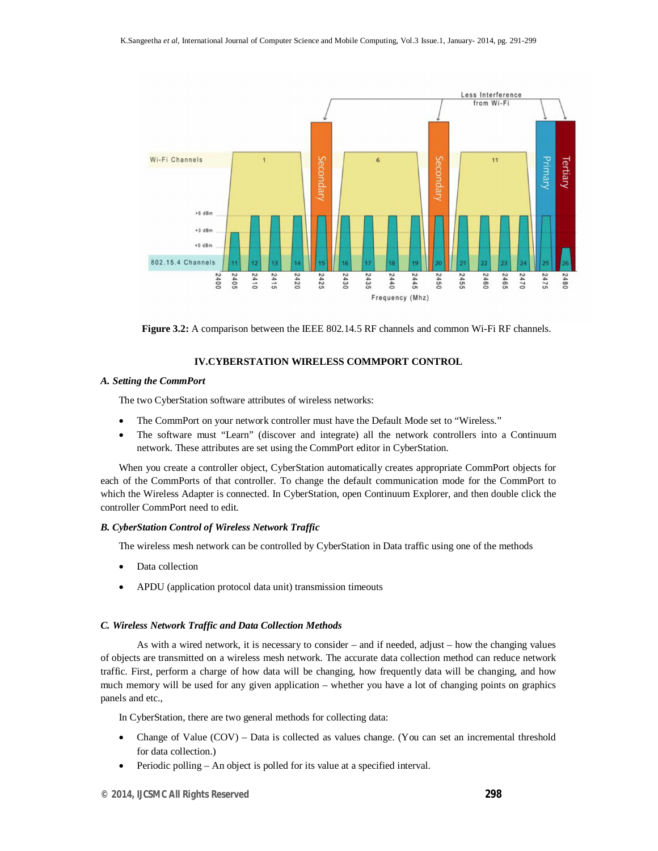

**Figure 3.2:** A comparison between the IEEE 802.14.5 RF channels and common Wi-Fi RF channels.

#### **IV.CYBERSTATION WIRELESS COMMPORT CONTROL**

#### *A. Setting the CommPort*

The two CyberStation software attributes of wireless networks:

- The CommPort on your network controller must have the Default Mode set to "Wireless."
- The software must "Learn" (discover and integrate) all the network controllers into a Continuum network. These attributes are set using the CommPort editor in CyberStation.

When you create a controller object, CyberStation automatically creates appropriate CommPort objects for each of the CommPorts of that controller. To change the default communication mode for the CommPort to which the Wireless Adapter is connected. In CyberStation, open Continuum Explorer, and then double click the controller CommPort need to edit.

#### *B. CyberStation Control of Wireless Network Traffic*

The wireless mesh network can be controlled by CyberStation in Data traffic using one of the methods

- Data collection
- APDU (application protocol data unit) transmission timeouts

#### *C. Wireless Network Traffic and Data Collection Methods*

As with a wired network, it is necessary to consider – and if needed, adjust – how the changing values of objects are transmitted on a wireless mesh network. The accurate data collection method can reduce network traffic. First, perform a charge of how data will be changing, how frequently data will be changing, and how much memory will be used for any given application – whether you have a lot of changing points on graphics panels and etc.,

In CyberStation, there are two general methods for collecting data:

- Change of Value (COV) Data is collected as values change. (You can set an incremental threshold for data collection.)
- Periodic polling An object is polled for its value at a specified interval.